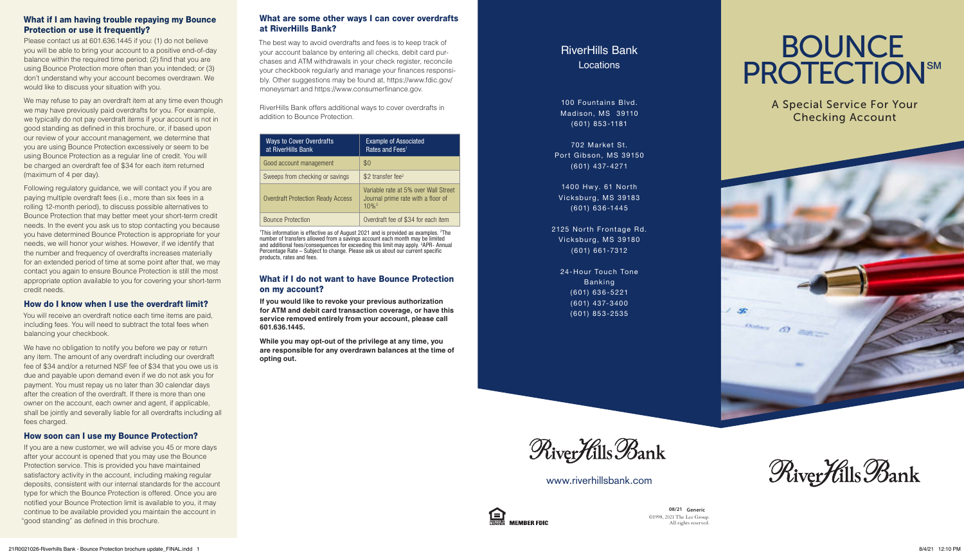## What if I am having trouble repaying my Bounce Protection or use it frequently?

Please contact us at 601.636.1445 if you: (1) do not believe you will be able to bring your account to a positive end-of-day balance within the required time period; (2) find that you are using Bounce Protection more often than you intended; or (3) don't understand why your account becomes overdrawn. We would like to discuss your situation with you.

We may refuse to pay an overdraft item at any time even though we may have previously paid overdrafts for you. For example, we typically do not pay overdraft items if your account is not in good standing as defined in this brochure, or, if based upon our review of your account management, we determine that you are using Bounce Protection excessively or seem to be using Bounce Protection as a regular line of credit. You will be charged an overdraft fee of \$34 for each item returned (maximum of 4 per day).

Following regulatory guidance, we will contact you if you are paying multiple overdraft fees (i.e., more than six fees in a rolling 12-month period), to discuss possible alternatives to Bounce Protection that may better meet your short-term credit needs. In the event you ask us to stop contacting you because you have determined Bounce Protection is appropriate for your needs, we will honor your wishes. However, if we identify that the number and frequency of overdrafts increases materially for an extended period of time at some point after that, we may contact you again to ensure Bounce Protection is still the most appropriate option available to you for covering your short-term credit needs.

#### How do I know when I use the overdraft limit?

You will receive an overdraft notice each time items are paid, including fees. You will need to subtract the total fees when balancing your checkbook.

We have no obligation to notify you before we pay or return any item. The amount of any overdraft including our overdraft fee of \$34 and/or a returned NSF fee of \$34 that you owe us is due and payable upon demand even if we do not ask you for payment. You must repay us no later than 30 calendar days after the creation of the overdraft. If there is more than one owner on the account, each owner and agent, if applicable, shall be jointly and severally liable for all overdrafts including all fees charged.

#### How soon can I use my Bounce Protection?

If you are a new customer, we will advise you 45 or more days after your account is opened that you may use the Bounce Protection service. This is provided you have maintained satisfactory activity in the account, including making regular deposits, consistent with our internal standards for the account type for which the Bounce Protection is offered. Once you are notified your Bounce Protection limit is available to you, it may continue to be available provided you maintain the account in "good standing" as defined in this brochure.

## What are some other ways I can cover overdrafts at RiverHills Bank?

The best way to avoid overdrafts and fees is to keep track of your account balance by entering all checks, debit card purchases and ATM withdrawals in your check register, reconcile your checkbook regularly and manage your finances responsibly. Other suggestions may be found at, https://www.fdic.gov/ moneysmart and https://www.consumerfinance.gov.

RiverHills Bank offers additional ways to cover overdrafts in addition to Bounce Protection.

| <b>Ways to Cover Overdrafts</b><br>at RiverHills Bank | <b>Example of Associated</b><br>Rates and Fees <sup>1</sup>                                       |  |
|-------------------------------------------------------|---------------------------------------------------------------------------------------------------|--|
| Good account management                               | \$0                                                                                               |  |
| Sweeps from checking or savings                       | \$2 transfer fee <sup>2</sup>                                                                     |  |
| <b>Overdraft Protection Ready Access</b>              | Variable rate at 5% over Wall Street<br>Journal prime rate with a floor of<br>$10\%$ <sup>3</sup> |  |
| <b>Bounce Protection</b>                              | Overdraft fee of \$34 for each item                                                               |  |

<sup>1</sup>This information is effective as of August 2021 and is provided as examples. <sup>2</sup>The number of transfers allowed from a savings account each month may be limited and additional fees/consequences for exceeding this limit may apply. 3 APR- Annual Percentage Rate – Subject to change. Please ask us about our current specific products, rates and fees.

## What if I do not want to have Bounce Protection on my account?

**If you would like to revoke your previous authorization for ATM and debit card transaction coverage, or have this service removed entirely from your account, please call 601.636.1445.**

**While you may opt-out of the privilege at any time, you are responsible for any overdrawn balances at the time of opting out.**



# **BOUNCE PROTECTION**

A Special Service For Your Checking Account



RiverHills Bank

RiverHills Bank

## www.riverhillsbank.com



**08/21 Generic** ©1998, 2021 The Lee Group. All rights reserved.